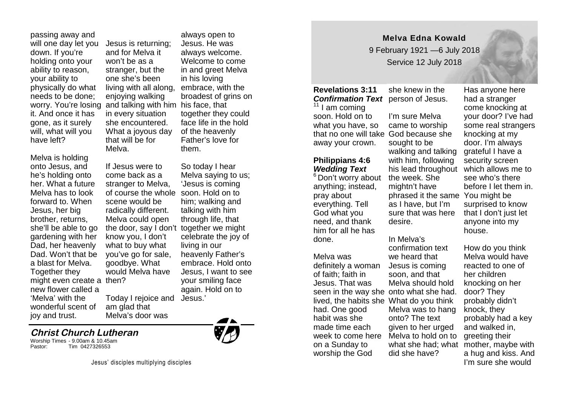passing away and will one day let you down. If you're holding onto your ability to reason, your ability to physically do what needs to be done; it. And once it has gone, as it surely will, what will you have left?

Melva is holding onto Jesus, and he's holding onto her. What a future Melva has to look forward to. When Jesus, her big brother, returns, she'll be able to go gardening with her Dad, her heavenly Dad. Won't that be a blast for Melva. Together they might even create a then? new flower called a 'Melva' with the wonderful scent of joy and trust.

worry. You're losing and talking with him his face, that Jesus is returning; and for Melva it won't be as a stranger, but the one she's been living with all along, enjoying walking in every situation she encountered. What a joyous day that will be for Melva.

> If Jesus were to come back as a stranger to Melva, scene would be radically different. Melva could open the door, say I don't together we might know you, I don't what to buy what you've go for sale, goodbye. What would Melva have

Today I rejoice and am glad that Melva's door was

#### **Christ Church Lutheran**

Worship Times - 9.00am & 10.45am Tim 0427326553



always open to Jesus. He was always welcome. Welcome to come in and greet Melva in his loving embrace, with the broadest of grins on together they could face life in the hold of the heavenly Father's love for them.

of course the whole soon. Hold on to So today I hear Melva saying to us; 'Jesus is coming him; walking and talking with him through life, that celebrate the joy of living in our heavenly Father's embrace. Hold onto Jesus, I want to see your smiling face again. Hold on to Jesus.'

# **Melva Edna Kowald**

9 February 1921 —6 July 2018 Service 12 July 2018

#### **Revelations 3:11 Confirmation Text** person of Jesus.

 $11$  I am coming soon. Hold on to what you have, so that no one will take God because she away your crown.

## **Philippians 4:6** *Wedding Text*

<sup>6</sup> Don't worry about anything; instead, pray about everything. Tell God what you need, and thank him for all he has done.

Melva was definitely a woman of faith; faith in Jesus. That was had. One good habit was she made time each week to come here on a Sunday to worship the God

she knew in the I'm sure Melva came to worship sought to be walking and talking with him, following the week. She

mightn't have phrased it the same You might be as I have, but I'm sure that was here desire.

### In Melva's

seen in the way she onto what she had. lived, the habits she What do you think confirmation text we heard that Jesus is coming soon, and that Melva should hold Melva was to hang onto? The text given to her urged Melva to hold on to did she have?

his lead throughout which allows me to Has anyone here had a stranger come knocking at your door? I've had some real strangers knocking at my door. I'm always grateful I have a security screen see who's there before I let them in. surprised to know that I don't just let anyone into my house.

what she had; what mother, maybe with How do you think Melva would have reacted to one of her children knocking on her door? They probably didn't knock, they probably had a key and walked in, greeting their a hug and kiss. And I'm sure she would